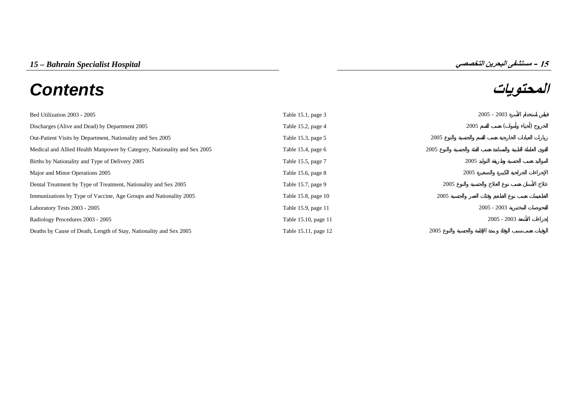# **المحتويات** *Contents*

| Bed Utilization 2003 - 2005                                              | Table 15.1, page 3   |      | $2005 - 2003$ |               |  |
|--------------------------------------------------------------------------|----------------------|------|---------------|---------------|--|
| Discharges (Alive and Dead) by Department 2005                           | Table 15.2, page 4   |      | 2005          |               |  |
| Out-Patient Visits by Department, Nationality and Sex 2005               | Table 15.3, page 5   | 2005 |               |               |  |
| Medical and Allied Health Manpower by Category, Nationality and Sex 2005 | Table 15.4, page 6   | 2005 |               |               |  |
| Births by Nationality and Type of Delivery 2005                          | Table 15.5, page 7   |      | 2005          |               |  |
| Major and Minor Operations 2005                                          | Table 15.6, page 8   |      | 2005          |               |  |
| Dental Treatment by Type of Treatment, Nationality and Sex 2005          | Table 15.7, page 9   | 2005 |               |               |  |
| Immunizations by Type of Vaccine, Age Groups and Nationality 2005        | Table 15.8, page 10  | 2005 |               |               |  |
| Laboratory Tests 2003 - 2005                                             | Table 15.9, page 11  |      | $2005 - 2003$ |               |  |
| Radiology Procedures 2003 - 2005                                         | Table 15.10, page 11 |      |               | $2005 - 2003$ |  |
| Deaths by Cause of Death, Length of Stay, Nationality and Sex 2005       | Table 15.11, page 12 | 2005 |               |               |  |

**15**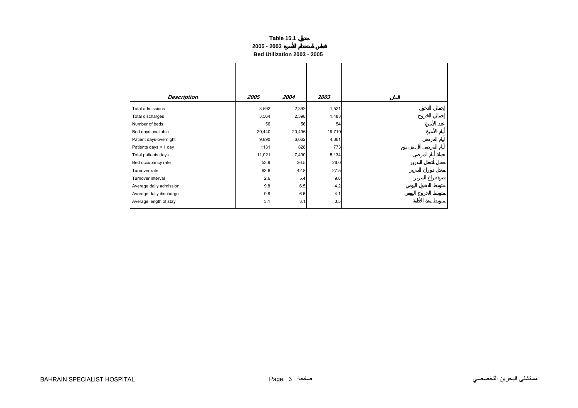### **2005 - 2003**

**Bed Utilization 2003 - 2005** 

<span id="page-1-0"></span>

| <b>Description</b><br>2005<br>2004<br>2003<br>3,592<br>2,392<br>1,521<br>Total admissions<br>3,564<br>2,398<br>1,483<br>Total discharges<br>Number of beds<br>56<br>56<br>54<br>19,710<br>Bed days available<br>20,440<br>20,496<br>Patient days-overnight<br>9,890<br>6,662<br>4,361<br>1131<br>Patients days < 1 day<br>828<br>773<br>Total patients days<br>11,021<br>7,490<br>5,134<br>Bed occupancy rate<br>53.9<br>36.5<br>26.0<br>Turnover rate<br>63.6<br>42.8<br>27.5<br>9.8<br>Turnover interval<br>2.6<br>5.4<br>9.8<br>6.5<br>4.2<br>Average daily admission<br>6.6<br>9.8<br>4.1<br>Average daily discharge |                        |     |     |     |
|--------------------------------------------------------------------------------------------------------------------------------------------------------------------------------------------------------------------------------------------------------------------------------------------------------------------------------------------------------------------------------------------------------------------------------------------------------------------------------------------------------------------------------------------------------------------------------------------------------------------------|------------------------|-----|-----|-----|
|                                                                                                                                                                                                                                                                                                                                                                                                                                                                                                                                                                                                                          |                        |     |     |     |
|                                                                                                                                                                                                                                                                                                                                                                                                                                                                                                                                                                                                                          |                        |     |     |     |
|                                                                                                                                                                                                                                                                                                                                                                                                                                                                                                                                                                                                                          |                        |     |     |     |
|                                                                                                                                                                                                                                                                                                                                                                                                                                                                                                                                                                                                                          |                        |     |     |     |
|                                                                                                                                                                                                                                                                                                                                                                                                                                                                                                                                                                                                                          |                        |     |     |     |
|                                                                                                                                                                                                                                                                                                                                                                                                                                                                                                                                                                                                                          |                        |     |     |     |
|                                                                                                                                                                                                                                                                                                                                                                                                                                                                                                                                                                                                                          |                        |     |     |     |
|                                                                                                                                                                                                                                                                                                                                                                                                                                                                                                                                                                                                                          |                        |     |     |     |
|                                                                                                                                                                                                                                                                                                                                                                                                                                                                                                                                                                                                                          |                        |     |     |     |
|                                                                                                                                                                                                                                                                                                                                                                                                                                                                                                                                                                                                                          |                        |     |     |     |
|                                                                                                                                                                                                                                                                                                                                                                                                                                                                                                                                                                                                                          |                        |     |     |     |
|                                                                                                                                                                                                                                                                                                                                                                                                                                                                                                                                                                                                                          |                        |     |     |     |
|                                                                                                                                                                                                                                                                                                                                                                                                                                                                                                                                                                                                                          |                        |     |     |     |
|                                                                                                                                                                                                                                                                                                                                                                                                                                                                                                                                                                                                                          |                        |     |     |     |
|                                                                                                                                                                                                                                                                                                                                                                                                                                                                                                                                                                                                                          |                        |     |     |     |
|                                                                                                                                                                                                                                                                                                                                                                                                                                                                                                                                                                                                                          | Average length of stay | 3.1 | 3.1 | 3.5 |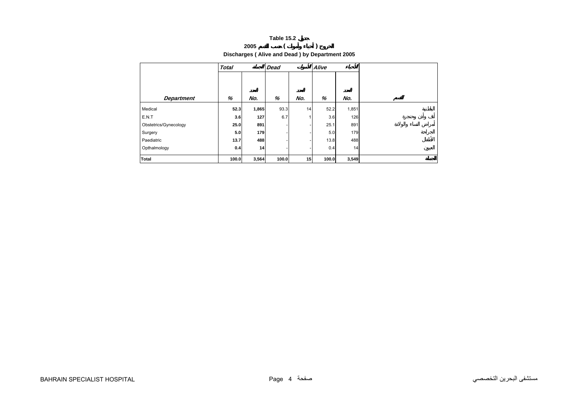# **2005 ( ) Discharges ( Alive and Dead ) by Department 2005**

<span id="page-2-0"></span>

|                       | <b>Total</b> |       | <b>Dead</b> |     | Alive |       |  |
|-----------------------|--------------|-------|-------------|-----|-------|-------|--|
| <b>Department</b>     | %            | No.   | %           | No. | %     | No.   |  |
| Medical               | 52.3         | 1,865 | 93.3        | 14  | 52.2  | 1,851 |  |
| E.N.T                 | 3.6          | 127   | 6.7         |     | 3.6   | 126   |  |
| Obstetrics/Gynecology | 25.0         | 891   |             |     | 25.1  | 891   |  |
| Surgery               | 5.0          | 179   |             |     | 5.0   | 179   |  |
| Paediatric            | 13.7         | 488   |             |     | 13.8  | 488   |  |
| Opthalmology          | 0.4          | 14    |             |     | 0.4   | 14    |  |
| <b>Total</b>          | 100.0        | 3,564 | 100.0       | 15  | 100.0 | 3,549 |  |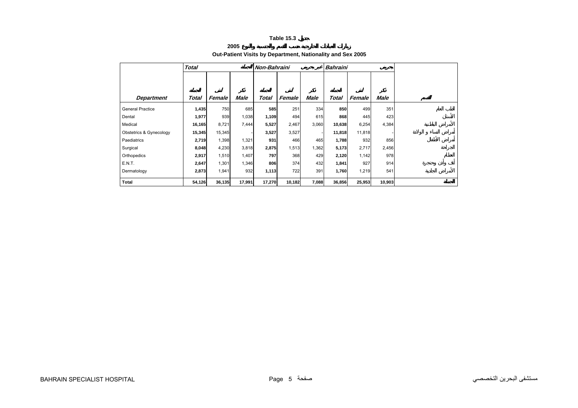**2005**

# **Out-Patient Visits by Department, Nationality and Sex 2005**

<span id="page-3-0"></span>

|                         | <b>Total</b> |        |             | Non-Bahraini |        |       | <b>Bahraini</b> |        |        |  |
|-------------------------|--------------|--------|-------------|--------------|--------|-------|-----------------|--------|--------|--|
|                         |              |        |             |              |        |       |                 |        |        |  |
|                         |              |        |             |              |        |       |                 |        |        |  |
| <b>Department</b>       | Total        | Female | <b>Male</b> | Total        | Female | Male  | <b>Total</b>    | Female | Male   |  |
| <b>General Practice</b> | 1,435        | 750    | 685         | 585          | 251    | 334   | 850             | 499    | 351    |  |
| Dental                  | 1,977        | 939    | 1,038       | 1,109        | 494    | 615   | 868             | 445    | 423    |  |
| Medical                 | 16,165       | 8,721  | 7,444       | 5,527        | 2,467  | 3,060 | 10,638          | 6,254  | 4,384  |  |
| Obstetrics & Gynecology | 15,345       | 15,345 |             | 3,527        | 3,527  |       | 11,818          | 11,818 |        |  |
| Paediatrics             | 2,719        | 1,398  | 1,321       | 931          | 466    | 465   | 1,788           | 932    | 856    |  |
| Surgical                | 8,048        | 4,230  | 3,818       | 2,875        | 1,513  | 1,362 | 5,173           | 2,717  | 2,456  |  |
| Orthopedics             | 2,917        | 1,510  | 1,407       | 797          | 368    | 429   | 2,120           | 1,142  | 978    |  |
| E.N.T.                  | 2,647        | 1,301  | 1,346       | 806          | 374    | 432   | 1,841           | 927    | 914    |  |
| Dermatology             | 2,873        | 1,941  | 932         | 1,113        | 722    | 391   | 1,760           | 1,219  | 541    |  |
| Total                   | 54,126       | 36,135 | 17,991      | 17,270       | 10,182 | 7,088 | 36,856          | 25,953 | 10,903 |  |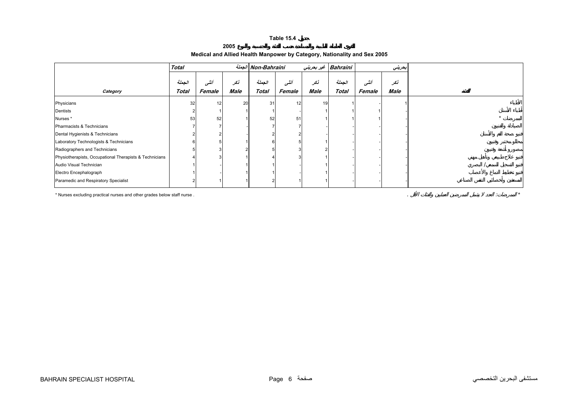# **2005Medical and Allied Health Manpower by Category, Nationality and Sex 2005**

<span id="page-4-0"></span>

|                                                                         | <b>Total</b> |        |      | الجملة Non-Bahraini |        |      | Bahraini غير بحريني |        | بعريني |
|-------------------------------------------------------------------------|--------------|--------|------|---------------------|--------|------|---------------------|--------|--------|
|                                                                         | الجعلة       | أنشى   | نکر  | الجملة              | أننشى  | نكر  | الجعلة              | أنشى   | نکر    |
| Category                                                                | Total        | Female | Male | <b>Total</b>        | Female | Male | <b>Total</b>        | Female | Male   |
| Physicians                                                              | 32           | 12     | 20   | 31                  | 12     | 19   |                     |        |        |
| Dentists                                                                |              |        |      |                     |        |      |                     |        |        |
| Nurses *                                                                | 53           | 52     |      | 52                  | 51     |      |                     |        |        |
| Pharmacists & Technicians                                               |              |        |      |                     |        |      |                     |        |        |
| Dental Hygienists & Technicians                                         |              |        |      |                     |        |      |                     |        |        |
| Laboratory Technologists & Technicians                                  |              |        |      |                     |        |      |                     |        |        |
| Radiographers and Technicians                                           |              |        |      |                     |        |      |                     |        |        |
| Physiotherapists, Occupational Therapists & Technicians                 |              |        |      |                     |        |      |                     |        |        |
| Audio Visual Technician                                                 |              |        |      |                     |        |      |                     |        |        |
| Electro Encephalograph                                                  |              |        |      |                     |        |      |                     |        |        |
| Paramedic and Respiratory Specialist                                    |              |        |      |                     |        |      |                     |        |        |
| * Nurses excluding practical nurses and other grades below staff nurse. |              |        |      |                     |        |      |                     |        |        |

مستشفى البحرين التخصصي صفحة 6 Page HOSPITAL SPECIALIST BAHRAIN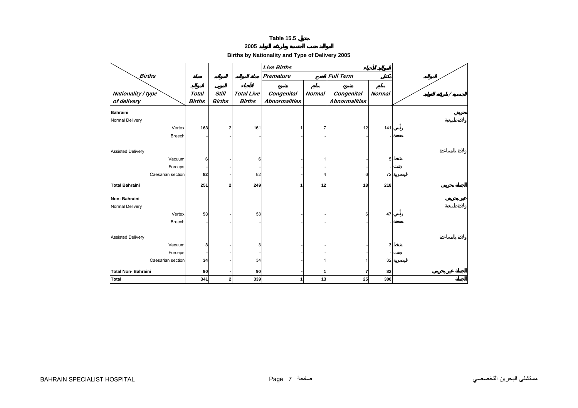**2005**

|  |  | Births by Nationality and Type of Delivery 2005 |  |  |  |  |
|--|--|-------------------------------------------------|--|--|--|--|
|--|--|-------------------------------------------------|--|--|--|--|

<span id="page-5-0"></span>

|                                   |                               |                               |                                    | <b>Live Births</b>                 |               |                                    |               |  |
|-----------------------------------|-------------------------------|-------------------------------|------------------------------------|------------------------------------|---------------|------------------------------------|---------------|--|
| <b>Births</b>                     |                               |                               |                                    | Premature                          |               | <b>Full Term</b>                   |               |  |
|                                   |                               |                               |                                    |                                    |               |                                    |               |  |
| Nationality / type<br>of delivery | <b>Total</b><br><b>Births</b> | <b>Still</b><br><b>Births</b> | <b>Total Live</b><br><b>Births</b> | Congenital<br><b>Abnormalities</b> | <b>Normal</b> | Congenital<br><b>Abnormalities</b> | <b>Normal</b> |  |
| <b>Bahraini</b>                   |                               |                               |                                    |                                    |               |                                    |               |  |
| Normal Delivery                   |                               |                               |                                    |                                    |               |                                    |               |  |
| Vertex                            | 163                           |                               | 161                                |                                    |               | 12                                 | 141           |  |
| <b>Breech</b>                     |                               |                               |                                    |                                    |               |                                    |               |  |
|                                   |                               |                               |                                    |                                    |               |                                    |               |  |
| <b>Assisted Delivery</b>          |                               |                               |                                    |                                    |               |                                    |               |  |
| Vacuum                            | 6                             |                               | 6                                  |                                    |               |                                    | 5             |  |
| Forceps                           |                               |                               | 82                                 |                                    |               |                                    |               |  |
| Caesarian section                 | 82                            |                               |                                    |                                    |               | 6                                  | 72            |  |
| <b>Total Bahraini</b>             | 251                           | 2                             | 249                                |                                    | 12            | 18                                 | 218           |  |
| Non-Bahraini                      |                               |                               |                                    |                                    |               |                                    |               |  |
| Normal Delivery                   |                               |                               |                                    |                                    |               |                                    |               |  |
| Vertex                            | 53                            |                               | 53                                 |                                    |               | 6                                  | 47            |  |
| <b>Breech</b>                     |                               |                               |                                    |                                    |               |                                    |               |  |
|                                   |                               |                               |                                    |                                    |               |                                    |               |  |
| <b>Assisted Delivery</b>          |                               |                               |                                    |                                    |               |                                    | 3             |  |
| Vacuum<br>Forceps                 | 3                             |                               |                                    |                                    |               |                                    |               |  |
| Caesarian section                 | 34                            |                               | 34                                 |                                    |               |                                    | 32            |  |
|                                   |                               |                               |                                    |                                    |               |                                    |               |  |
| <b>Total Non-Bahraini</b>         | 90                            |                               | 90                                 |                                    |               | 7                                  | 82            |  |
| <b>Total</b>                      | 341                           | $\overline{2}$                | 339                                |                                    | 13            | 25                                 | 300           |  |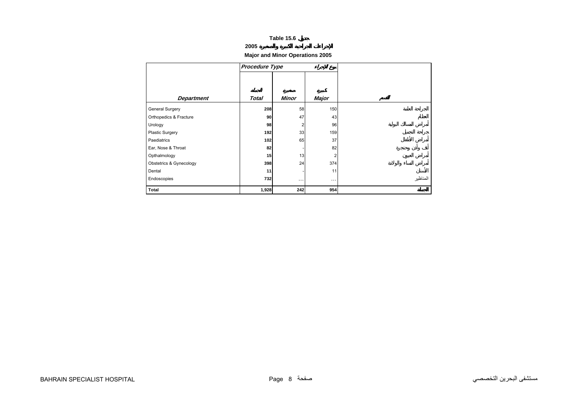### **2005**

### **Major and Minor Operations 2005**

<span id="page-6-0"></span>

|                         | <b>Procedure Type</b> |              |          |          |
|-------------------------|-----------------------|--------------|----------|----------|
|                         |                       |              |          |          |
|                         |                       |              |          |          |
| <b>Department</b>       | Total                 | <b>Minor</b> | Major    |          |
| General Surgery         | 208                   | 58           | 150      |          |
| Orthopedics & Fracture  | 90                    | 47           | 43       |          |
| Urology                 | 98                    | 2            | 96       |          |
| <b>Plastic Surgery</b>  | 192                   | 33           | 159      |          |
| Paediatrics             | 102                   | 65           | 37       |          |
| Ear, Nose & Throat      | 82                    |              | 82       |          |
| Opthalmology            | 15                    | 13           | 2        |          |
| Obstetrics & Gynecology | 398                   | 24           | 374      |          |
| Dental                  | 11                    |              | 11       |          |
| Endoscopies             | 732                   | $\cdots$     | $\cdots$ | المناظير |
| <b>Total</b>            | 1,928                 | 242          | 954      |          |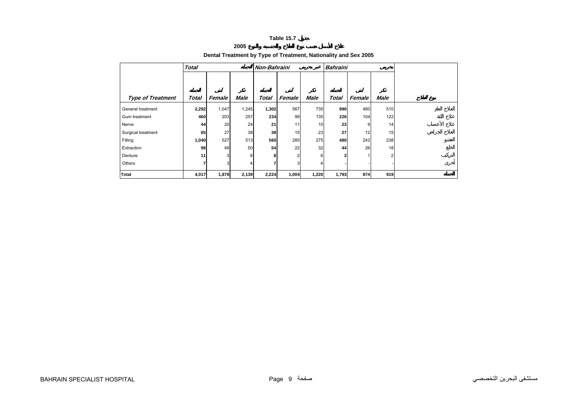**2005**

# **Dental Treatment by Type of Treatment, Nationality and Sex 2005**

<span id="page-7-0"></span>

|                          | <b>Total</b> |                |             | Non-Bahraini |        |             | <b>Bahraini</b> |        |             |  |
|--------------------------|--------------|----------------|-------------|--------------|--------|-------------|-----------------|--------|-------------|--|
|                          |              |                |             |              |        |             |                 |        |             |  |
|                          |              |                |             |              |        |             |                 |        |             |  |
| <b>Type of Treatment</b> | <b>Total</b> | Female         | <b>Male</b> | Total        | Female | <b>Male</b> | <b>Total</b>    | Female | <b>Male</b> |  |
| General treatment        | 2,292        | 1,047          | 1,245       | 1,302        | 567    | 735         | 990             | 480    | 510         |  |
| Gum treatment            | 460          | 203            | 257         | 234          | 99     | 135         | 226             | 104    | 122         |  |
| Nerve                    | 44           | 20             | 24          | 21           | 11     | 10          | 23              | 9      | 14          |  |
| Surgical treatment       | 65           | 27             | 38          | 38           | 15     | 23          | 27              | 12     | 15          |  |
| Filling                  | 1,040        | 527            | 513         | 560          | 285    | 275         | 480             | 242    | 238         |  |
| Extraction               | 98           | 48             | 50          | 54           | 22     | 32          | 44              | 26     | 18          |  |
| Denture                  | 11           | 3 <sup>1</sup> | 8           | 8            | 2      | 6           |                 |        | 2           |  |
| Others                   | 7            | 3 <sup>1</sup> | 4           |              |        | 4           |                 |        |             |  |
| <b>Total</b>             | 4,017        | 1,878          | 2,139       | 2,224        | 1,004  | 1,220       | 1,793           | 874    | 919         |  |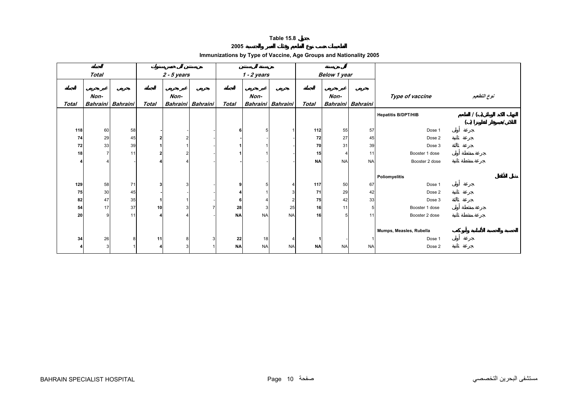**2005**

# **Immunizations by Type of Vaccine, Age Groups and Nationality 2005**

<span id="page-8-0"></span>

|       | <b>Total</b>   |                   |       | $2 - 5$ years |                   |           | $1 - 2$ years |                   |           | Below 1 year      |           |                            |             |  |
|-------|----------------|-------------------|-------|---------------|-------------------|-----------|---------------|-------------------|-----------|-------------------|-----------|----------------------------|-------------|--|
|       |                |                   |       |               |                   |           |               |                   |           |                   |           |                            |             |  |
|       | Non-           |                   |       | Non-          |                   |           | Non-          |                   |           | Non-              |           | Type of vaccine            | نوع التطعيم |  |
| Total |                | Bahraini Bahraini | Total |               | Bahraini Bahraini | Total     |               | Bahraini Bahraini | Total     | Bahraini Bahraini |           |                            |             |  |
|       |                |                   |       |               |                   |           |               |                   |           |                   |           | <b>Hepatitis B/DPT/HIB</b> | 1()<br>( )  |  |
| 118   | 60             | 58                |       |               |                   | 6         |               |                   | 112       | 55                | 57        | Dose 1                     |             |  |
| 74    | 29             | 45                |       |               |                   |           |               |                   | 72        | 27                | 45        | Dose 2                     |             |  |
| 72    | 33             | 39                |       |               |                   |           |               |                   | 70        | 31                | 39        | Dose 3                     |             |  |
| 18    | $\overline{7}$ | 11                |       |               |                   |           |               |                   | 15        | $\overline{4}$    | 11        | Booster 1 dose             |             |  |
|       |                |                   |       |               |                   |           |               |                   | <b>NA</b> | <b>NA</b>         | <b>NA</b> | Booster 2 dose             |             |  |
|       |                |                   |       |               |                   |           |               |                   |           |                   |           |                            |             |  |
|       |                |                   |       |               |                   |           |               |                   |           |                   |           | Poliomyelitis              |             |  |
| 129   | 58             | 71                |       | 3             |                   |           |               |                   | 117       | 50                | 67        | Dose 1                     |             |  |
| 75    | 30             | 45                |       |               |                   |           |               |                   | 71        | 29                | 42        | Dose 2                     |             |  |
| 82    | 47             | 35                |       |               |                   |           |               |                   | 75        | 42                | 33        | Dose 3                     |             |  |
| 54    | 17             | 37                | 10    |               |                   | 28        |               | 25                | 16        | 11                |           | Booster 1 dose             |             |  |
| 20    | 9              | 11                |       |               |                   | <b>NA</b> | <b>NA</b>     | <b>NA</b>         | 16        | 5                 | 11        | Booster 2 dose             |             |  |
|       |                |                   |       |               |                   |           |               |                   |           |                   |           | Mumps, Measles, Rubella    |             |  |
| 34    | 26             | 8                 | 11    | 8             |                   | 22        | 18            |                   |           |                   |           | Dose 1                     |             |  |
|       | 3              |                   |       |               |                   | <b>NA</b> | <b>NA</b>     | <b>NA</b>         | <b>NA</b> | <b>NA</b>         | <b>NA</b> | Dose 2                     |             |  |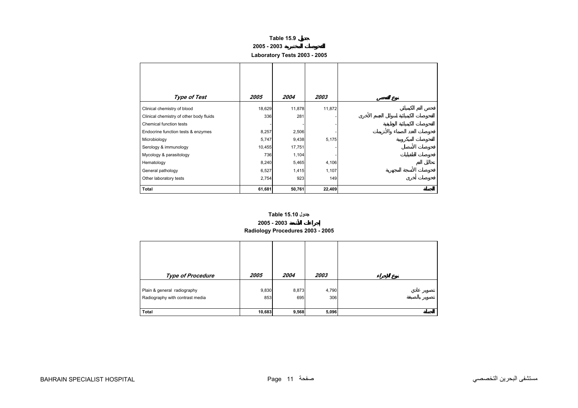# **Table 15.9 2005 - 2003Laboratory Tests 2003 - 2005**

<span id="page-9-0"></span>

| Type of Test                            | <i><b>2005</b></i> | 2004   | 2003   |
|-----------------------------------------|--------------------|--------|--------|
| Clinical chemistry of blood             | 18,629             | 11,878 | 11,872 |
| Clinical chemistry of other body fluids | 336                | 281    |        |
| Chemical function tests                 |                    |        |        |
| Endocrine function tests & enzymes      | 8,257              | 2,506  |        |
| Microbiology                            | 5,747              | 9,438  | 5,175  |
| Serology & immunology                   | 10,455             | 17,751 |        |
| Mycology & parasitology                 | 736                | 1,104  |        |
| Hematology                              | 8,240              | 5,465  | 4,106  |
| General pathology                       | 6,527              | 1,415  | 1,107  |
| Other laboratory tests                  | 2,754              | 923    | 149    |
| Total                                   | 61,681             | 50,761 | 22,409 |

# **2005 - 2003 Radiology Procedures 2003 - 2005 جدول 15.10 Table**

| <b>Type of Procedure</b>                                       | 2005         | 2004         | 2003         |
|----------------------------------------------------------------|--------------|--------------|--------------|
| Plain & general radiography<br>Radiography with contrast media | 9,830<br>853 | 8,873<br>695 | 4,790<br>306 |
| Total                                                          | 10,683       | 9,568        | 5,096        |